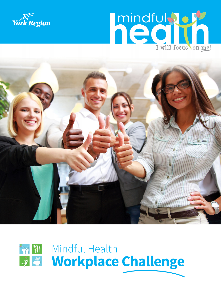







# **Workplace Challenge** 多 W Mindful Health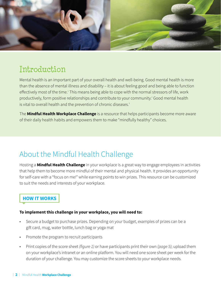

# Introduction

Mental health is an important part of your overall health and well-being. Good mental health is more than the absence of mental illness and disability – it is about feeling good and being able to function effectively most of the time.<sup>1</sup> This means being able to cope with the normal stressors of life, work productively, form positive relationships and contribute to your community.<sup>2</sup> Good mental health is vital to overall health and the prevention of chronic diseases.<sup>3</sup>

The **Mindful Health Workplace Challenge** is a resource that helps participants become more aware of their daily health habits and empowers them to make "mindfully healthy" choices.

### About the Mindful Health Challenge

Hosting a **Mindful Health Challenge** in your workplace is a great way to engage employees in activities that help them to become more mindful of their mental and physical health. It provides an opportunity for self-care with a "focus on me!" while earning points to win prizes. This resource can be customized to suit the needs and interests of your workplace.

#### **HOW IT WORKS**

#### **To implement this challenge in your workplace, you will need to:**

- Secure a budget to purchase prizes. Depending on your budget, examples of prizes can be a gift card, mug, water bottle, lunch bag or yoga mat
- Promote the program to recruit participants
- Print copies of the score sheet *(figure 1)* or have participants print their own *(page 5)*; upload them on your workplace's intranet or an online platform. You will need one score sheet per week for the duration of your challenge. You may customize the score sheets to your workplace needs.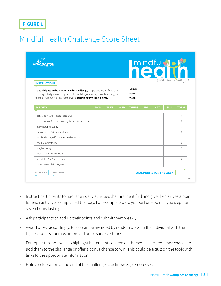#### **FIGURE 1**

### Mindful Health Challenge Score Sheet

| <b>York Region</b><br><b>INSTRUCTIONS</b><br>To participate in the Mindful Health Challenge, simply give yourself one point<br>for every activity you accomplish each day. Tally your weekly score by adding up<br>the total number of points for the week. Submit your weekly points. |  |  |  | <b>mindful Not</b><br>I will focus on me!<br>Name: Name and the state of the state of the state of the state of the state of the state of the state of the state of the state of the state of the state of the state of the state of the state of the state of the state of<br>Date: http://www.archive.com/communications/communications/communications/communications/communications/communications/communications/communications/communications/communications/communications/communications/communication<br>Week: Week and the contract of the contract of the contract of the contract of the contract of the contract of the contract of the contract of the contract of the contract of the contract of the contract of the contract of |  |  |  |              |
|----------------------------------------------------------------------------------------------------------------------------------------------------------------------------------------------------------------------------------------------------------------------------------------|--|--|--|-------------------------------------------------------------------------------------------------------------------------------------------------------------------------------------------------------------------------------------------------------------------------------------------------------------------------------------------------------------------------------------------------------------------------------------------------------------------------------------------------------------------------------------------------------------------------------------------------------------------------------------------------------------------------------------------------------------------------------------------------|--|--|--|--------------|
|                                                                                                                                                                                                                                                                                        |  |  |  |                                                                                                                                                                                                                                                                                                                                                                                                                                                                                                                                                                                                                                                                                                                                                 |  |  |  |              |
| I got seven hours of sleep last night                                                                                                                                                                                                                                                  |  |  |  |                                                                                                                                                                                                                                                                                                                                                                                                                                                                                                                                                                                                                                                                                                                                                 |  |  |  | $\Omega$     |
| I disconnected from technology for 30 minutes today                                                                                                                                                                                                                                    |  |  |  |                                                                                                                                                                                                                                                                                                                                                                                                                                                                                                                                                                                                                                                                                                                                                 |  |  |  | $\theta$     |
| I ate vegetables today                                                                                                                                                                                                                                                                 |  |  |  |                                                                                                                                                                                                                                                                                                                                                                                                                                                                                                                                                                                                                                                                                                                                                 |  |  |  | $\theta$     |
| I was active for 30 minutes today                                                                                                                                                                                                                                                      |  |  |  |                                                                                                                                                                                                                                                                                                                                                                                                                                                                                                                                                                                                                                                                                                                                                 |  |  |  | $\theta$     |
| I was kind to myself or someone else today                                                                                                                                                                                                                                             |  |  |  |                                                                                                                                                                                                                                                                                                                                                                                                                                                                                                                                                                                                                                                                                                                                                 |  |  |  | $\theta$     |
| I had breakfast today                                                                                                                                                                                                                                                                  |  |  |  |                                                                                                                                                                                                                                                                                                                                                                                                                                                                                                                                                                                                                                                                                                                                                 |  |  |  | $\theta$     |
| I laughed today                                                                                                                                                                                                                                                                        |  |  |  |                                                                                                                                                                                                                                                                                                                                                                                                                                                                                                                                                                                                                                                                                                                                                 |  |  |  | $\Omega$     |
| I took a stretch break today                                                                                                                                                                                                                                                           |  |  |  |                                                                                                                                                                                                                                                                                                                                                                                                                                                                                                                                                                                                                                                                                                                                                 |  |  |  | $\theta$     |
| I scheduled "me" time today                                                                                                                                                                                                                                                            |  |  |  |                                                                                                                                                                                                                                                                                                                                                                                                                                                                                                                                                                                                                                                                                                                                                 |  |  |  | $\mathbf{0}$ |
|                                                                                                                                                                                                                                                                                        |  |  |  |                                                                                                                                                                                                                                                                                                                                                                                                                                                                                                                                                                                                                                                                                                                                                 |  |  |  | $\Omega$     |
| I spent time with family/friend                                                                                                                                                                                                                                                        |  |  |  |                                                                                                                                                                                                                                                                                                                                                                                                                                                                                                                                                                                                                                                                                                                                                 |  |  |  |              |

- Instruct participants to track their daily activities that are identified and give themselves a point for each activity accomplished that day. For example, award yourself one point if you slept for seven hours last night
- Ask participants to add up their points and submit them weekly
- Award prizes accordingly. Prizes can be awarded by random draw, to the individual with the highest points, for most improved or for success stories
- For topics that you wish to highlight but are not covered on the score sheet, you may choose to add them to the challenge or offer a bonus chance to win. This could be a quiz on the topic with links to the appropriate information
- Hold a celebration at the end of the challenge to acknowledge successes